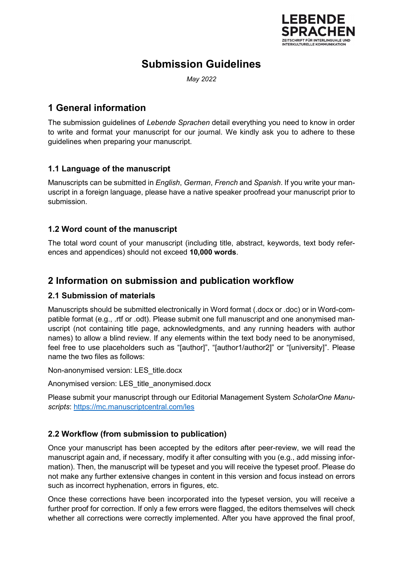

# **Submission Guidelines**

*May 2022*

## **1 General information**

The submission guidelines of *Lebende Sprachen* detail everything you need to know in order to write and format your manuscript for our journal. We kindly ask you to adhere to these guidelines when preparing your manuscript.

## **1.1 Language of the manuscript**

Manuscripts can be submitted in *English*, *German*, *French* and *Spanish*. If you write your manuscript in a foreign language, please have a native speaker proofread your manuscript prior to submission.

## **1.2 Word count of the manuscript**

The total word count of your manuscript (including title, abstract, keywords, text body references and appendices) should not exceed **10,000 words**.

## **2 Information on submission and publication workflow**

### **2.1 Submission of materials**

Manuscripts should be submitted electronically in Word format (.docx or .doc) or in Word-compatible format (e.g., .rtf or .odt). Please submit one full manuscript and one anonymised manuscript (not containing title page, acknowledgments, and any running headers with author names) to allow a blind review. If any elements within the text body need to be anonymised, feel free to use placeholders such as "[author]", "[author1/author2]" or "[university]". Please name the two files as follows:

Non-anonymised version: LES\_title.docx

Anonymised version: LES\_title\_anonymised.docx

Please submit your manuscript through our Editorial Management System *ScholarOne Manuscripts*:<https://mc.manuscriptcentral.com/les>

## **2.2 Workflow (from submission to publication)**

Once your manuscript has been accepted by the editors after peer-review, we will read the manuscript again and, if necessary, modify it after consulting with you (e.g., add missing information). Then, the manuscript will be typeset and you will receive the typeset proof. Please do not make any further extensive changes in content in this version and focus instead on errors such as incorrect hyphenation, errors in figures, etc.

Once these corrections have been incorporated into the typeset version, you will receive a further proof for correction. If only a few errors were flagged, the editors themselves will check whether all corrections were correctly implemented. After you have approved the final proof,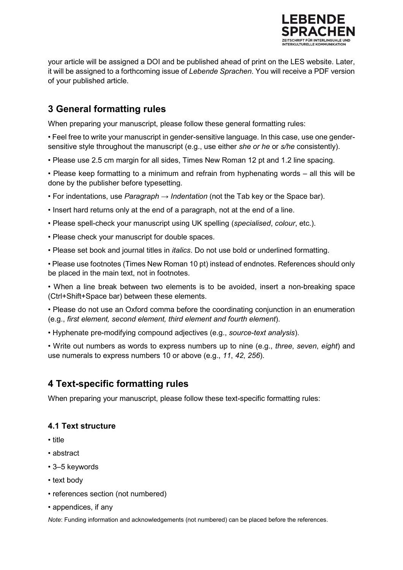

your article will be assigned a DOI and be published ahead of print on the LES website. Later, it will be assigned to a forthcoming issue of *Lebende Sprachen*. You will receive a PDF version of your published article.

## **3 General formatting rules**

When preparing your manuscript, please follow these general formatting rules:

- Feel free to write your manuscript in gender-sensitive language. In this case, use one gendersensitive style throughout the manuscript (e.g., use either *she or he* or *s/he* consistently).
- Please use 2.5 cm margin for all sides, Times New Roman 12 pt and 1.2 line spacing.
- Please keep formatting to a minimum and refrain from hyphenating words all this will be done by the publisher before typesetting.
- For indentations, use *Paragraph* → *Indentation* (not the Tab key or the Space bar).
- Insert hard returns only at the end of a paragraph, not at the end of a line.
- Please spell-check your manuscript using UK spelling (*specialised*, *colour*, etc.).
- Please check your manuscript for double spaces.
- Please set book and journal titles in *italics*. Do not use bold or underlined formatting.

• Please use footnotes (Times New Roman 10 pt) instead of endnotes. References should only be placed in the main text, not in footnotes.

• When a line break between two elements is to be avoided, insert a non-breaking space (Ctrl+Shift+Space bar) between these elements.

• Please do not use an Oxford comma before the coordinating conjunction in an enumeration (e.g., *first element, second element, third element and fourth element*).

• Hyphenate pre-modifying compound adjectives (e.g., *source-text analysis*).

• Write out numbers as words to express numbers up to nine (e.g., *three*, *seven*, *eight*) and use numerals to express numbers 10 or above (e.g., *11*, *42*, *256*).

## **4 Text-specific formatting rules**

When preparing your manuscript, please follow these text-specific formatting rules:

#### **4.1 Text structure**

- title
- abstract
- 3–5 keywords
- text body
- references section (not numbered)
- appendices, if any

*Note*: Funding information and acknowledgements (not numbered) can be placed before the references.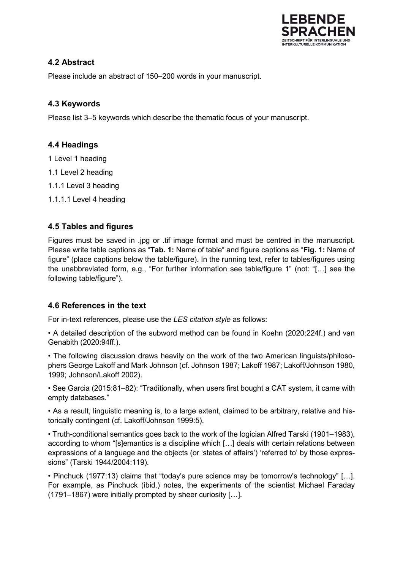

## **4.2 Abstract**

Please include an abstract of 150–200 words in your manuscript.

### **4.3 Keywords**

Please list 3–5 keywords which describe the thematic focus of your manuscript.

### **4.4 Headings**

- 1 Level 1 heading
- 1.1 Level 2 heading
- 1.1.1 Level 3 heading
- 1.1.1.1 Level 4 heading

#### **4.5 Tables and figures**

Figures must be saved in .jpg or .tif image format and must be centred in the manuscript. Please write table captions as "**Tab. 1:** Name of table" and figure captions as "**Fig. 1:** Name of figure" (place captions below the table/figure). In the running text, refer to tables/figures using the unabbreviated form, e.g., "For further information see table/figure 1" (not: "[…] see the following table/figure").

### **4.6 References in the text**

For in-text references, please use the *LES citation style* as follows:

• A detailed description of the subword method can be found in Koehn (2020:224f.) and van Genabith (2020:94ff.).

• The following discussion draws heavily on the work of the two American linguists/philosophers George Lakoff and Mark Johnson (cf. Johnson 1987; Lakoff 1987; Lakoff/Johnson 1980, 1999; Johnson/Lakoff 2002).

• See Garcia (2015:81–82): "Traditionally, when users first bought a CAT system, it came with empty databases."

• As a result, linguistic meaning is, to a large extent, claimed to be arbitrary, relative and historically contingent (cf. Lakoff/Johnson 1999:5).

• Truth-conditional semantics goes back to the work of the logician Alfred Tarski (1901–1983), according to whom "[s]emantics is a discipline which […] deals with certain relations between expressions of a language and the objects (or 'states of affairs') 'referred to' by those expressions" (Tarski 1944/2004:119).

• Pinchuck (1977:13) claims that "today's pure science may be tomorrow's technology" […]. For example, as Pinchuck (ibid.) notes, the experiments of the scientist Michael Faraday (1791–1867) were initially prompted by sheer curiosity […].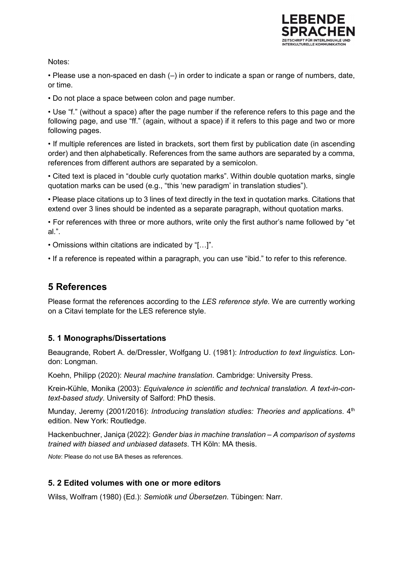

Notes:

• Please use a non-spaced en dash (–) in order to indicate a span or range of numbers, date, or time.

• Do not place a space between colon and page number.

• Use "f." (without a space) after the page number if the reference refers to this page and the following page, and use "ff." (again, without a space) if it refers to this page and two or more following pages.

• If multiple references are listed in brackets, sort them first by publication date (in ascending order) and then alphabetically. References from the same authors are separated by a comma, references from different authors are separated by a semicolon.

• Cited text is placed in "double curly quotation marks". Within double quotation marks, single quotation marks can be used (e.g., "this 'new paradigm' in translation studies").

• Please place citations up to 3 lines of text directly in the text in quotation marks. Citations that extend over 3 lines should be indented as a separate paragraph, without quotation marks.

• For references with three or more authors, write only the first author's name followed by "et al.".

• Omissions within citations are indicated by "[…]".

• If a reference is repeated within a paragraph, you can use "ibid." to refer to this reference.

## **5 References**

Please format the references according to the *LES reference style*. We are currently working on a Citavi template for the LES reference style.

#### **5. 1 Monographs/Dissertations**

Beaugrande, Robert A. de/Dressler, Wolfgang U. (1981): *Introduction to text linguistics.* London: Longman.

Koehn, Philipp (2020): *Neural machine translation*. Cambridge: University Press.

Krein-Kühle, Monika (2003): *Equivalence in scientific and technical translation. A text-in-context-based study*. University of Salford: PhD thesis.

Munday, Jeremy (2001/2016): *Introducing translation studies: Theories and applications*. 4<sup>th</sup> edition. New York: Routledge.

Hackenbuchner, Janiça (2022): *Gender bias in machine translation – A comparison of systems trained with biased and unbiased datasets*. TH Köln: MA thesis.

*Note*: Please do not use BA theses as references.

#### **5. 2 Edited volumes with one or more editors**

Wilss, Wolfram (1980) (Ed.): *Semiotik und Übersetzen*. Tübingen: Narr.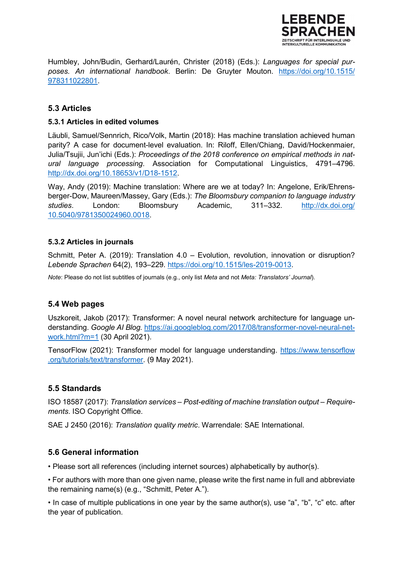

Humbley, John/Budin, Gerhard/Laurén, Christer (2018) (Eds.): *Languages for special purposes. An international handbook*. Berlin: De Gruyter Mouton. [https://doi.org/10.1515/](https://doi.org/10.1515/978311022801) [978311022801.](https://doi.org/10.1515/978311022801)

### **5.3 Articles**

#### **5.3.1 Articles in edited volumes**

Läubli, Samuel/Sennrich, Rico/Volk, Martin (2018): Has machine translation achieved human parity? A case for document-level evaluation. In: Riloff, Ellen/Chiang, David/Hockenmaier, Julia/Tsujii, Jun'ichi (Eds.): *Proceedings of the 2018 conference on empirical methods in natural language processing*. Association for Computational Linguistics, 4791–4796. [http://dx.doi.org/10.18653/v1/D18-1512.](http://dx.doi.org/10.18653/v1/D18-1512)

Way, Andy (2019): Machine translation: Where are we at today? In: Angelone, Erik/Ehrensberger-Dow, Maureen/Massey, Gary (Eds.): *The Bloomsbury companion to language industry studies*. London: Bloomsbury Academic, 311–332. [http://dx.doi.org/](http://dx.doi.org/10.5040/9781350024960.0018) [10.5040/9781350024960.0018.](http://dx.doi.org/10.5040/9781350024960.0018)

#### **5.3.2 Articles in journals**

Schmitt, Peter A. (2019): Translation 4.0 – Evolution, revolution, innovation or disruption? *Lebende Sprachen* 64(2), 193–229. [https://doi.org/10.1515/les-2019-0013.](https://doi.org/10.1515/les-2019-0013)

*Note*: Please do not list subtitles of journals (e.g., only list *Meta* and not *Meta: Translators' Journal*).

#### **5.4 Web pages**

Uszkoreit, Jakob (2017): Transformer: A novel neural network architecture for language understanding. *Google AI Blog.* [https://ai.googleblog.com/2017/08/transformer-novel-neural-net](https://ai.googleblog.com/2017/08/transformer-novel-neural-network.html?m=1)[work.html?m=1](https://ai.googleblog.com/2017/08/transformer-novel-neural-network.html?m=1) (30 April 2021).

TensorFlow (2021): Transformer model for language understanding. [https://www.tensorflow](https://www.tensorflow.org/tutorials/text/transformer) [.org/tutorials/text/transformer.](https://www.tensorflow.org/tutorials/text/transformer) (9 May 2021).

#### **5.5 Standards**

ISO 18587 (2017): *Translation services – Post-editing of machine translation output – Requirements*. ISO Copyright Office.

SAE J 2450 (2016): *Translation quality metric*. Warrendale: SAE International.

#### **5.6 General information**

• Please sort all references (including internet sources) alphabetically by author(s).

• For authors with more than one given name, please write the first name in full and abbreviate the remaining name(s) (e.g., "Schmitt, Peter A.").

• In case of multiple publications in one year by the same author(s), use "a", "b", "c" etc. after the year of publication.